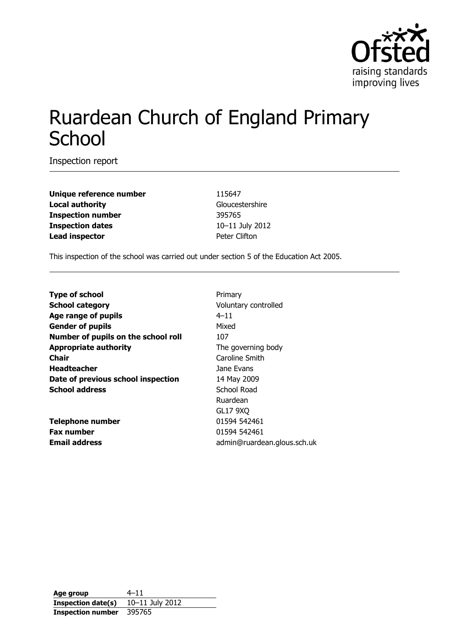

# Ruardean Church of England Primary **School**

Inspection report

**Unique reference number** 115647 **Local authority** Gloucestershire **Inspection number** 395765 **Inspection dates** 10–11 July 2012 **Lead inspector Example 2 Peter Clifton** 

This inspection of the school was carried out under section 5 of the Education Act 2005.

| <b>Type of school</b>               | Primary                     |
|-------------------------------------|-----------------------------|
| <b>School category</b>              | Voluntary controlled        |
| Age range of pupils                 | $4 - 11$                    |
| <b>Gender of pupils</b>             | Mixed                       |
| Number of pupils on the school roll | 107                         |
| <b>Appropriate authority</b>        | The governing body          |
| Chair                               | Caroline Smith              |
| <b>Headteacher</b>                  | Jane Evans                  |
| Date of previous school inspection  | 14 May 2009                 |
| <b>School address</b>               | School Road                 |
|                                     | Ruardean                    |
|                                     | <b>GL17 9XQ</b>             |
| <b>Telephone number</b>             | 01594 542461                |
| <b>Fax number</b>                   | 01594 542461                |
| <b>Email address</b>                | admin@ruardean.glous.sch.uk |
|                                     |                             |

**Age group** 4–11 **Inspection date(s)** 10–11 July 2012 **Inspection number** 395765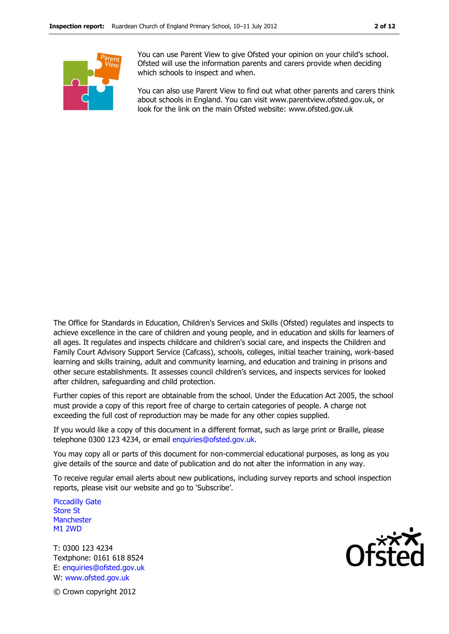

You can use Parent View to give Ofsted your opinion on your child's school. Ofsted will use the information parents and carers provide when deciding which schools to inspect and when.

You can also use Parent View to find out what other parents and carers think about schools in England. You can visit www.parentview.ofsted.gov.uk, or look for the link on the main Ofsted website: www.ofsted.gov.uk

The Office for Standards in Education, Children's Services and Skills (Ofsted) regulates and inspects to achieve excellence in the care of children and young people, and in education and skills for learners of all ages. It regulates and inspects childcare and children's social care, and inspects the Children and Family Court Advisory Support Service (Cafcass), schools, colleges, initial teacher training, work-based learning and skills training, adult and community learning, and education and training in prisons and other secure establishments. It assesses council children's services, and inspects services for looked after children, safeguarding and child protection.

Further copies of this report are obtainable from the school. Under the Education Act 2005, the school must provide a copy of this report free of charge to certain categories of people. A charge not exceeding the full cost of reproduction may be made for any other copies supplied.

If you would like a copy of this document in a different format, such as large print or Braille, please telephone 0300 123 4234, or email enquiries@ofsted.gov.uk.

You may copy all or parts of this document for non-commercial educational purposes, as long as you give details of the source and date of publication and do not alter the information in any way.

To receive regular email alerts about new publications, including survey reports and school inspection reports, please visit our website and go to 'Subscribe'.

Piccadilly Gate Store St **Manchester** M1 2WD

T: 0300 123 4234 Textphone: 0161 618 8524 E: enquiries@ofsted.gov.uk W: www.ofsted.gov.uk



© Crown copyright 2012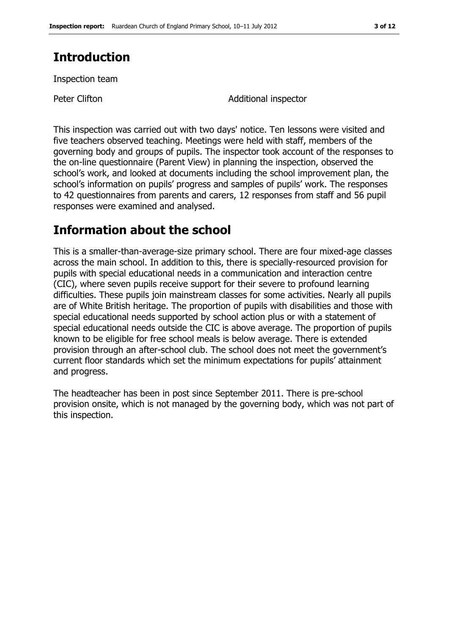# **Introduction**

Inspection team

Peter Clifton **Additional inspector** 

This inspection was carried out with two days' notice. Ten lessons were visited and five teachers observed teaching. Meetings were held with staff, members of the governing body and groups of pupils. The inspector took account of the responses to the on-line questionnaire (Parent View) in planning the inspection, observed the school's work, and looked at documents including the school improvement plan, the school's information on pupils' progress and samples of pupils' work. The responses to 42 questionnaires from parents and carers, 12 responses from staff and 56 pupil responses were examined and analysed.

# **Information about the school**

This is a smaller-than-average-size primary school. There are four mixed-age classes across the main school. In addition to this, there is specially-resourced provision for pupils with special educational needs in a communication and interaction centre (CIC), where seven pupils receive support for their severe to profound learning difficulties. These pupils join mainstream classes for some activities. Nearly all pupils are of White British heritage. The proportion of pupils with disabilities and those with special educational needs supported by school action plus or with a statement of special educational needs outside the CIC is above average. The proportion of pupils known to be eligible for free school meals is below average. There is extended provision through an after-school club. The school does not meet the government's current floor standards which set the minimum expectations for pupils' attainment and progress.

The headteacher has been in post since September 2011. There is pre-school provision onsite, which is not managed by the governing body, which was not part of this inspection.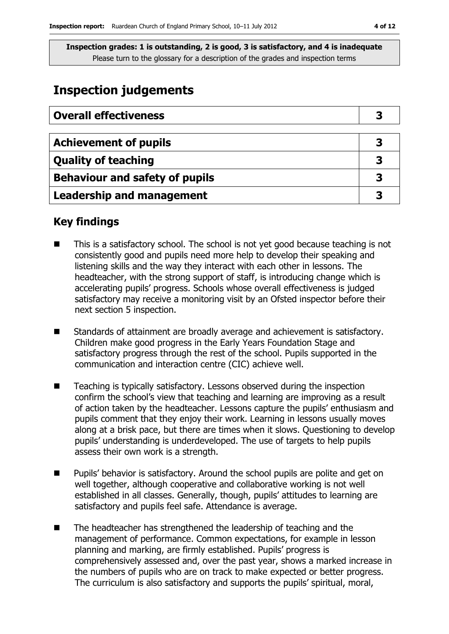# **Inspection judgements**

| <b>Overall effectiveness</b>          |   |
|---------------------------------------|---|
|                                       |   |
| <b>Achievement of pupils</b>          | 3 |
| <b>Quality of teaching</b>            |   |
| <b>Behaviour and safety of pupils</b> |   |
| <b>Leadership and management</b>      |   |

## **Key findings**

- This is a satisfactory school. The school is not yet good because teaching is not consistently good and pupils need more help to develop their speaking and listening skills and the way they interact with each other in lessons. The headteacher, with the strong support of staff, is introducing change which is accelerating pupils' progress. Schools whose overall effectiveness is judged satisfactory may receive a monitoring visit by an Ofsted inspector before their next section 5 inspection.
- Standards of attainment are broadly average and achievement is satisfactory. Children make good progress in the Early Years Foundation Stage and satisfactory progress through the rest of the school. Pupils supported in the communication and interaction centre (CIC) achieve well.
- Teaching is typically satisfactory. Lessons observed during the inspection confirm the school's view that teaching and learning are improving as a result of action taken by the headteacher. Lessons capture the pupils' enthusiasm and pupils comment that they enjoy their work. Learning in lessons usually moves along at a brisk pace, but there are times when it slows. Questioning to develop pupils' understanding is underdeveloped. The use of targets to help pupils assess their own work is a strength.
- Pupils' behavior is satisfactory. Around the school pupils are polite and get on well together, although cooperative and collaborative working is not well established in all classes. Generally, though, pupils' attitudes to learning are satisfactory and pupils feel safe. Attendance is average.
- The headteacher has strengthened the leadership of teaching and the management of performance. Common expectations, for example in lesson planning and marking, are firmly established. Pupils' progress is comprehensively assessed and, over the past year, shows a marked increase in the numbers of pupils who are on track to make expected or better progress. The curriculum is also satisfactory and supports the pupils' spiritual, moral,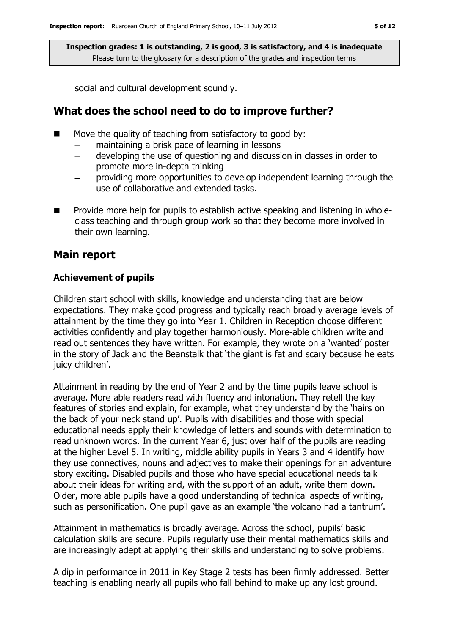social and cultural development soundly.

## **What does the school need to do to improve further?**

- Move the quality of teaching from satisfactory to good by:
	- maintaining a brisk pace of learning in lessons
	- developing the use of questioning and discussion in classes in order to promote more in-depth thinking
	- providing more opportunities to develop independent learning through the use of collaborative and extended tasks.
- $\blacksquare$  Provide more help for pupils to establish active speaking and listening in wholeclass teaching and through group work so that they become more involved in their own learning.

### **Main report**

#### **Achievement of pupils**

Children start school with skills, knowledge and understanding that are below expectations. They make good progress and typically reach broadly average levels of attainment by the time they go into Year 1. Children in Reception choose different activities confidently and play together harmoniously. More-able children write and read out sentences they have written. For example, they wrote on a 'wanted' poster in the story of Jack and the Beanstalk that 'the giant is fat and scary because he eats juicy children'.

Attainment in reading by the end of Year 2 and by the time pupils leave school is average. More able readers read with fluency and intonation. They retell the key features of stories and explain, for example, what they understand by the 'hairs on the back of your neck stand up'. Pupils with disabilities and those with special educational needs apply their knowledge of letters and sounds with determination to read unknown words. In the current Year 6, just over half of the pupils are reading at the higher Level 5. In writing, middle ability pupils in Years 3 and 4 identify how they use connectives, nouns and adjectives to make their openings for an adventure story exciting. Disabled pupils and those who have special educational needs talk about their ideas for writing and, with the support of an adult, write them down. Older, more able pupils have a good understanding of technical aspects of writing, such as personification. One pupil gave as an example 'the volcano had a tantrum'.

Attainment in mathematics is broadly average. Across the school, pupils' basic calculation skills are secure. Pupils regularly use their mental mathematics skills and are increasingly adept at applying their skills and understanding to solve problems.

A dip in performance in 2011 in Key Stage 2 tests has been firmly addressed. Better teaching is enabling nearly all pupils who fall behind to make up any lost ground.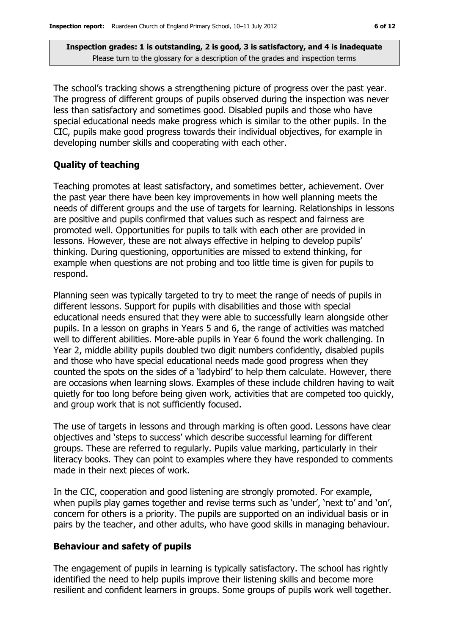The school's tracking shows a strengthening picture of progress over the past year. The progress of different groups of pupils observed during the inspection was never less than satisfactory and sometimes good. Disabled pupils and those who have special educational needs make progress which is similar to the other pupils. In the CIC, pupils make good progress towards their individual objectives, for example in developing number skills and cooperating with each other.

#### **Quality of teaching**

Teaching promotes at least satisfactory, and sometimes better, achievement. Over the past year there have been key improvements in how well planning meets the needs of different groups and the use of targets for learning. Relationships in lessons are positive and pupils confirmed that values such as respect and fairness are promoted well. Opportunities for pupils to talk with each other are provided in lessons. However, these are not always effective in helping to develop pupils' thinking. During questioning, opportunities are missed to extend thinking, for example when questions are not probing and too little time is given for pupils to respond.

Planning seen was typically targeted to try to meet the range of needs of pupils in different lessons. Support for pupils with disabilities and those with special educational needs ensured that they were able to successfully learn alongside other pupils. In a lesson on graphs in Years 5 and 6, the range of activities was matched well to different abilities. More-able pupils in Year 6 found the work challenging. In Year 2, middle ability pupils doubled two digit numbers confidently, disabled pupils and those who have special educational needs made good progress when they counted the spots on the sides of a 'ladybird' to help them calculate. However, there are occasions when learning slows. Examples of these include children having to wait quietly for too long before being given work, activities that are competed too quickly, and group work that is not sufficiently focused.

The use of targets in lessons and through marking is often good. Lessons have clear objectives and 'steps to success' which describe successful learning for different groups. These are referred to regularly. Pupils value marking, particularly in their literacy books. They can point to examples where they have responded to comments made in their next pieces of work.

In the CIC, cooperation and good listening are strongly promoted. For example, when pupils play games together and revise terms such as 'under', 'next to' and 'on', concern for others is a priority. The pupils are supported on an individual basis or in pairs by the teacher, and other adults, who have good skills in managing behaviour.

#### **Behaviour and safety of pupils**

The engagement of pupils in learning is typically satisfactory. The school has rightly identified the need to help pupils improve their listening skills and become more resilient and confident learners in groups. Some groups of pupils work well together.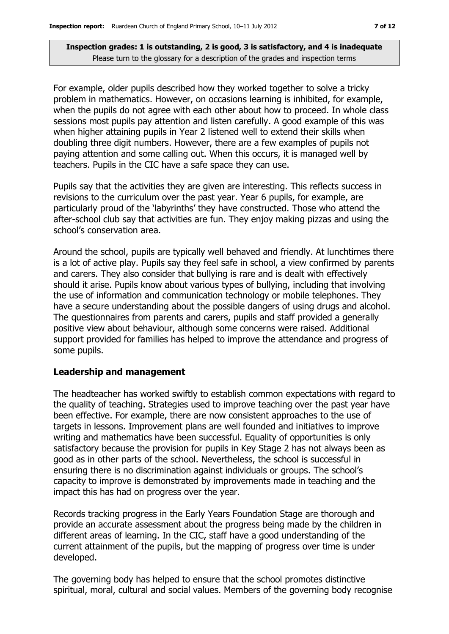For example, older pupils described how they worked together to solve a tricky problem in mathematics. However, on occasions learning is inhibited, for example, when the pupils do not agree with each other about how to proceed. In whole class sessions most pupils pay attention and listen carefully. A good example of this was when higher attaining pupils in Year 2 listened well to extend their skills when doubling three digit numbers. However, there are a few examples of pupils not paying attention and some calling out. When this occurs, it is managed well by teachers. Pupils in the CIC have a safe space they can use.

Pupils say that the activities they are given are interesting. This reflects success in revisions to the curriculum over the past year. Year 6 pupils, for example, are particularly proud of the 'labyrinths' they have constructed. Those who attend the after-school club say that activities are fun. They enjoy making pizzas and using the school's conservation area.

Around the school, pupils are typically well behaved and friendly. At lunchtimes there is a lot of active play. Pupils say they feel safe in school, a view confirmed by parents and carers. They also consider that bullying is rare and is dealt with effectively should it arise. Pupils know about various types of bullying, including that involving the use of information and communication technology or mobile telephones. They have a secure understanding about the possible dangers of using drugs and alcohol. The questionnaires from parents and carers, pupils and staff provided a generally positive view about behaviour, although some concerns were raised. Additional support provided for families has helped to improve the attendance and progress of some pupils.

#### **Leadership and management**

The headteacher has worked swiftly to establish common expectations with regard to the quality of teaching. Strategies used to improve teaching over the past year have been effective. For example, there are now consistent approaches to the use of targets in lessons. Improvement plans are well founded and initiatives to improve writing and mathematics have been successful. Equality of opportunities is only satisfactory because the provision for pupils in Key Stage 2 has not always been as good as in other parts of the school. Nevertheless, the school is successful in ensuring there is no discrimination against individuals or groups. The school's capacity to improve is demonstrated by improvements made in teaching and the impact this has had on progress over the year.

Records tracking progress in the Early Years Foundation Stage are thorough and provide an accurate assessment about the progress being made by the children in different areas of learning. In the CIC, staff have a good understanding of the current attainment of the pupils, but the mapping of progress over time is under developed.

The governing body has helped to ensure that the school promotes distinctive spiritual, moral, cultural and social values. Members of the governing body recognise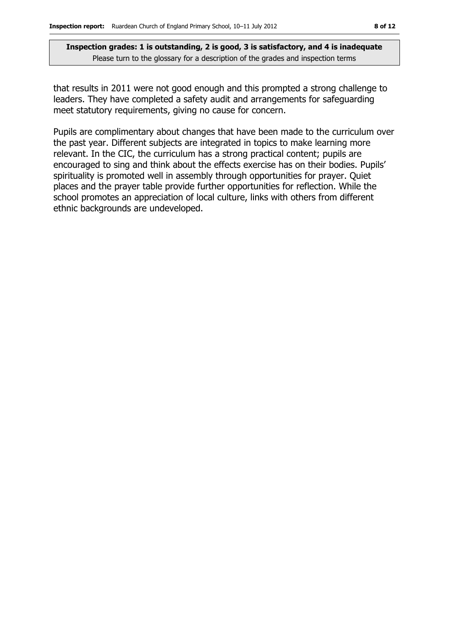that results in 2011 were not good enough and this prompted a strong challenge to leaders. They have completed a safety audit and arrangements for safeguarding meet statutory requirements, giving no cause for concern.

Pupils are complimentary about changes that have been made to the curriculum over the past year. Different subjects are integrated in topics to make learning more relevant. In the CIC, the curriculum has a strong practical content; pupils are encouraged to sing and think about the effects exercise has on their bodies. Pupils' spirituality is promoted well in assembly through opportunities for prayer. Quiet places and the prayer table provide further opportunities for reflection. While the school promotes an appreciation of local culture, links with others from different ethnic backgrounds are undeveloped.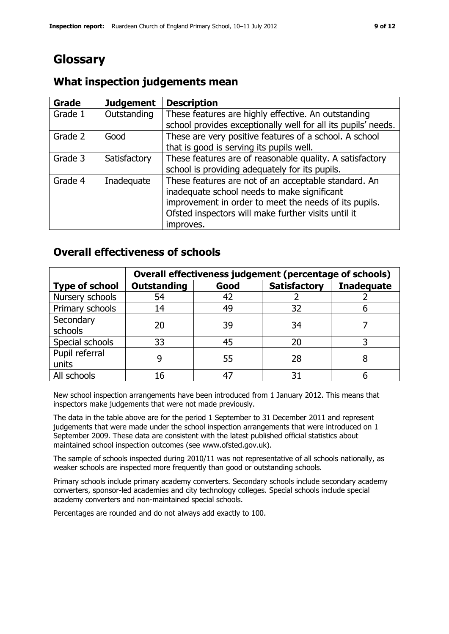# **Glossary**

#### **Grade Judgement Description** Grade  $1$  | Outstanding | These features are highly effective. An outstanding school provides exceptionally well for all its pupils' needs. Grade 2  $\Box$  Good These are very positive features of a school. A school that is good is serving its pupils well. Grade 3  $\parallel$  Satisfactory  $\parallel$  These features are of reasonable quality. A satisfactory school is providing adequately for its pupils. Grade 4 | Inadequate | These features are not of an acceptable standard. An inadequate school needs to make significant improvement in order to meet the needs of its pupils. Ofsted inspectors will make further visits until it improves.

## **What inspection judgements mean**

## **Overall effectiveness of schools**

|                         | Overall effectiveness judgement (percentage of schools) |      |                     |                   |
|-------------------------|---------------------------------------------------------|------|---------------------|-------------------|
| <b>Type of school</b>   | <b>Outstanding</b>                                      | Good | <b>Satisfactory</b> | <b>Inadequate</b> |
| Nursery schools         | 54                                                      | 42   |                     |                   |
| Primary schools         | 14                                                      | 49   | 32                  |                   |
| Secondary<br>schools    | 20                                                      | 39   | 34                  |                   |
| Special schools         | 33                                                      | 45   | 20                  |                   |
| Pupil referral<br>units |                                                         | 55   | 28                  |                   |
| All schools             | 16                                                      | 47   | 31                  |                   |

New school inspection arrangements have been introduced from 1 January 2012. This means that inspectors make judgements that were not made previously.

The data in the table above are for the period 1 September to 31 December 2011 and represent judgements that were made under the school inspection arrangements that were introduced on 1 September 2009. These data are consistent with the latest published official statistics about maintained school inspection outcomes (see www.ofsted.gov.uk).

The sample of schools inspected during 2010/11 was not representative of all schools nationally, as weaker schools are inspected more frequently than good or outstanding schools.

Primary schools include primary academy converters. Secondary schools include secondary academy converters, sponsor-led academies and city technology colleges. Special schools include special academy converters and non-maintained special schools.

Percentages are rounded and do not always add exactly to 100.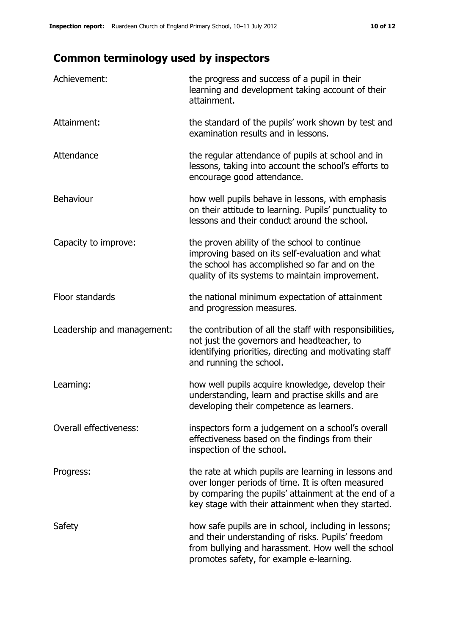# **Common terminology used by inspectors**

| Achievement:                  | the progress and success of a pupil in their<br>learning and development taking account of their<br>attainment.                                                                                                        |
|-------------------------------|------------------------------------------------------------------------------------------------------------------------------------------------------------------------------------------------------------------------|
| Attainment:                   | the standard of the pupils' work shown by test and<br>examination results and in lessons.                                                                                                                              |
| Attendance                    | the regular attendance of pupils at school and in<br>lessons, taking into account the school's efforts to<br>encourage good attendance.                                                                                |
| <b>Behaviour</b>              | how well pupils behave in lessons, with emphasis<br>on their attitude to learning. Pupils' punctuality to<br>lessons and their conduct around the school.                                                              |
| Capacity to improve:          | the proven ability of the school to continue<br>improving based on its self-evaluation and what<br>the school has accomplished so far and on the<br>quality of its systems to maintain improvement.                    |
| Floor standards               | the national minimum expectation of attainment<br>and progression measures.                                                                                                                                            |
| Leadership and management:    | the contribution of all the staff with responsibilities,<br>not just the governors and headteacher, to<br>identifying priorities, directing and motivating staff<br>and running the school.                            |
| Learning:                     | how well pupils acquire knowledge, develop their<br>understanding, learn and practise skills and are<br>developing their competence as learners.                                                                       |
| <b>Overall effectiveness:</b> | inspectors form a judgement on a school's overall<br>effectiveness based on the findings from their<br>inspection of the school.                                                                                       |
| Progress:                     | the rate at which pupils are learning in lessons and<br>over longer periods of time. It is often measured<br>by comparing the pupils' attainment at the end of a<br>key stage with their attainment when they started. |
| Safety                        | how safe pupils are in school, including in lessons;<br>and their understanding of risks. Pupils' freedom<br>from bullying and harassment. How well the school<br>promotes safety, for example e-learning.             |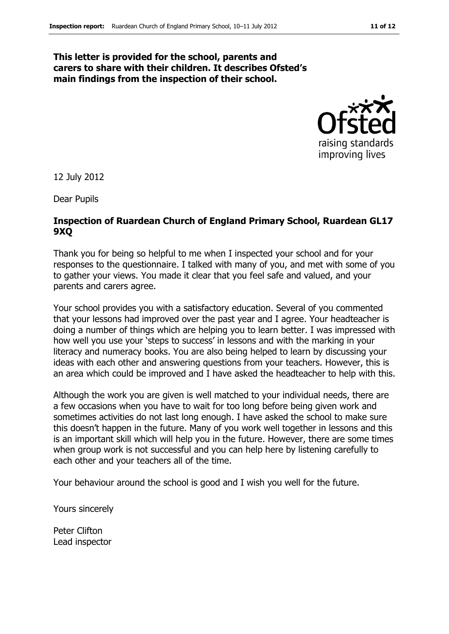#### **This letter is provided for the school, parents and carers to share with their children. It describes Ofsted's main findings from the inspection of their school.**



12 July 2012

Dear Pupils

#### **Inspection of Ruardean Church of England Primary School, Ruardean GL17 9XQ**

Thank you for being so helpful to me when I inspected your school and for your responses to the questionnaire. I talked with many of you, and met with some of you to gather your views. You made it clear that you feel safe and valued, and your parents and carers agree.

Your school provides you with a satisfactory education. Several of you commented that your lessons had improved over the past year and I agree. Your headteacher is doing a number of things which are helping you to learn better. I was impressed with how well you use your 'steps to success' in lessons and with the marking in your literacy and numeracy books. You are also being helped to learn by discussing your ideas with each other and answering questions from your teachers. However, this is an area which could be improved and I have asked the headteacher to help with this.

Although the work you are given is well matched to your individual needs, there are a few occasions when you have to wait for too long before being given work and sometimes activities do not last long enough. I have asked the school to make sure this doesn't happen in the future. Many of you work well together in lessons and this is an important skill which will help you in the future. However, there are some times when group work is not successful and you can help here by listening carefully to each other and your teachers all of the time.

Your behaviour around the school is good and I wish you well for the future.

Yours sincerely

Peter Clifton Lead inspector